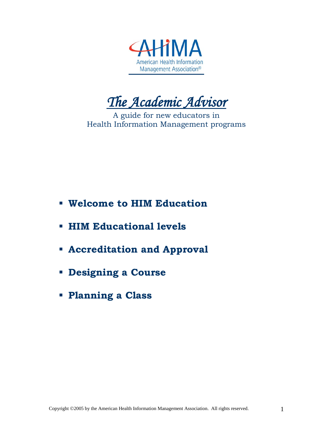

*The Academic Advisor* 

A guide for new educators in Health Information Management programs

- **Welcome to HIM Education**
- **HIM Educational levels**
- **Accreditation and Approval**
- **Designing a Course**
- **Planning a Class**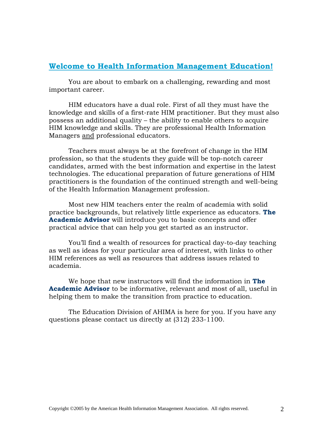### **Welcome to Health Information Management Education!**

You are about to embark on a challenging, rewarding and most important career. HIM educators have a dual role. First of all they must have the

knowledge and skills of a first-rate HIM practitioner. But they must also possess an additional quality – the ability to enable others to acquire HIM knowledge and skills. They are professional Health Information Managers and professional educators.

Teachers must always be at the forefront of change in the HIM profession, so that the students they guide will be top-notch career candidates, armed with the best information and expertise in the latest technologies. The educational preparation of future generations of HIM practitioners is the foundation of the continued strength and well-being of the Health Information Management profession.

Most new HIM teachers enter the realm of academia with solid practice backgrounds, but relatively little experience as educators. **The Academic Advisor** will introduce you to basic concepts and offer practical advice that can help you get started as an instructor.

You'll find a wealth of resources for practical day-to-day teaching as well as ideas for your particular area of interest, with links to other HIM references as well as resources that address issues related to academia.

We hope that new instructors will find the information in **The Academic Advisor** to be informative, relevant and most of all, useful in helping them to make the transition from practice to education.

The Education Division of AHIMA is here for you. If you have any questions please contact us directly at (312) 233-1100.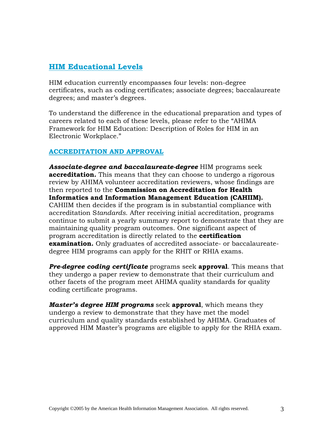# **HIM Educational Levels**

HIM education currently encompasses four levels: non-degree certificates, such as coding certificates; associate degrees; baccalaureate degrees; and master's degrees.

To understand the difference in the educational preparation and types of careers related to each of these levels, please refer to the "AHIMA Framework for HIM Education: Description of Roles for HIM in an Electronic Workplace."

#### **ACCREDITATION AND APPROVAL**

*Associate-degree and baccalaureate-degree* HIM programs seek **accreditation.** This means that they can choose to undergo a rigorous review by AHIMA volunteer accreditation reviewers, whose findings are then reported to the **Commission on Accreditation for Health Informatics and Information Management Education (CAHIIM).** CAHIIM then decides if the program is in substantial compliance with accreditation S*tandards*. After receiving initial accreditation, programs continue to submit a yearly summary report to demonstrate that they are maintaining quality program outcomes. One significant aspect of program accreditation is directly related to the **certification examination.** Only graduates of accredited associate- or baccalaureatedegree HIM programs can apply for the RHIT or RHIA exams.

*Pre-degree coding certificate* programs seek **approval**. This means that they undergo a paper review to demonstrate that their curriculum and other facets of the program meet AHIMA quality standards for quality coding certificate programs.

*Master's degree HIM programs* seek **approval**, which means they undergo a review to demonstrate that they have met the model curriculum and quality standards established by AHIMA. Graduates of approved HIM Master's programs are eligible to apply for the RHIA exam.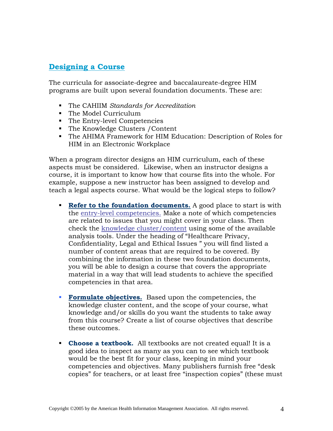# **Designing a Course**

The curricula for associate-degree and baccalaureate-degree HIM programs are built upon several foundation documents. These are:

- The CAHIIM *Standards for Accreditation*
- The Model Curriculum
- The Entry-level Competencies
- The Knowledge Clusters / Content
- The AHIMA Framework for HIM Education: Description of Roles for HIM in an Electronic Workplace

When a program director designs an HIM curriculum, each of these aspects must be considered. Likewise, when an instructor designs a course, it is important to know how that course fits into the whole. For example, suppose a new instructor has been assigned to develop and teach a legal aspects course. What would be the logical steps to follow?

- **Refer to the foundation documents.** A good place to start is with the entry-level competencies. Make a note of which competencies are related to issues that you might cover in your class. Then check the knowledge cluster/content using some of the available analysis tools. Under the heading of "Healthcare Privacy, Confidentiality, Legal and Ethical Issues " you will find listed a number of content areas that are required to be covered. By combining the information in these two foundation documents, you will be able to design a course that covers the appropriate material in a way that will lead students to achieve the specified competencies in that area.
- **Formulate objectives.** Based upon the competencies, the knowledge cluster content, and the scope of your course, what knowledge and/or skills do you want the students to take away from this course? Create a list of course objectives that describe these outcomes.
- **Choose a textbook.** All textbooks are not created equal! It is a good idea to inspect as many as you can to see which textbook would be the best fit for your class, keeping in mind your competencies and objectives. Many publishers furnish free "desk copies" for teachers, or at least free "inspection copies" (these must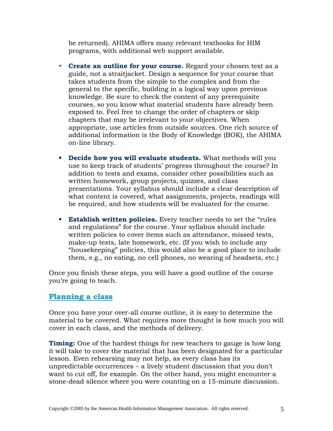be returned). AHIMA offers many relevant textbooks for HIM programs, with additional web support available.

- **Create an outline for your course.** Regard your chosen text as a guide, not a straitjacket. Design a sequence for your course that takes students from the simple to the complex and from the general to the specific, building in a logical way upon previous knowledge. Be sure to check the content of any prerequisite courses, so you know what material students have already been exposed to. Feel free to change the order of chapters or skip chapters that may be irrelevant to your objectives. When appropriate, use articles from outside sources. One rich source of additional information is the Body of Knowledge (BOK), the AHIMA on-line library.
- **Decide how you will evaluate students.** What methods will you use to keep track of students' progress throughout the course? In addition to tests and exams, consider other possibilities such as written homework, group projects, quizzes, and class presentations. Your syllabus should include a clear description of what content is covered, what assignments, projects, readings will be required, and how students will be evaluated for the course.
- **Establish written policies.** Every teacher needs to set the "rules" and regulations" for the course. Your syllabus should include written policies to cover items such as attendance, missed tests, make-up tests, late homework, etc. (If you wish to include any "housekeeping" policies, this would also be a good place to include them, e.g., no eating, no cell phones, no wearing of headsets, etc.)

Once you finish these steps, you will have a good outline of the course you're going to teach.

### **Planning a class**

Once you have your over-all course outline, it is easy to determine the material to be covered. What requires more thought is how much you will cover in each class, and the methods of delivery.

**Timing:** One of the hardest things for new teachers to gauge is how long it will take to cover the material that has been designated for a particular lesson. Even rehearsing may not help, as every class has its unpredictable occurrences – a lively student discussion that you don't want to cut off, for example. On the other hand, you might encounter a stone-dead silence where you were counting on a 15-minute discussion.